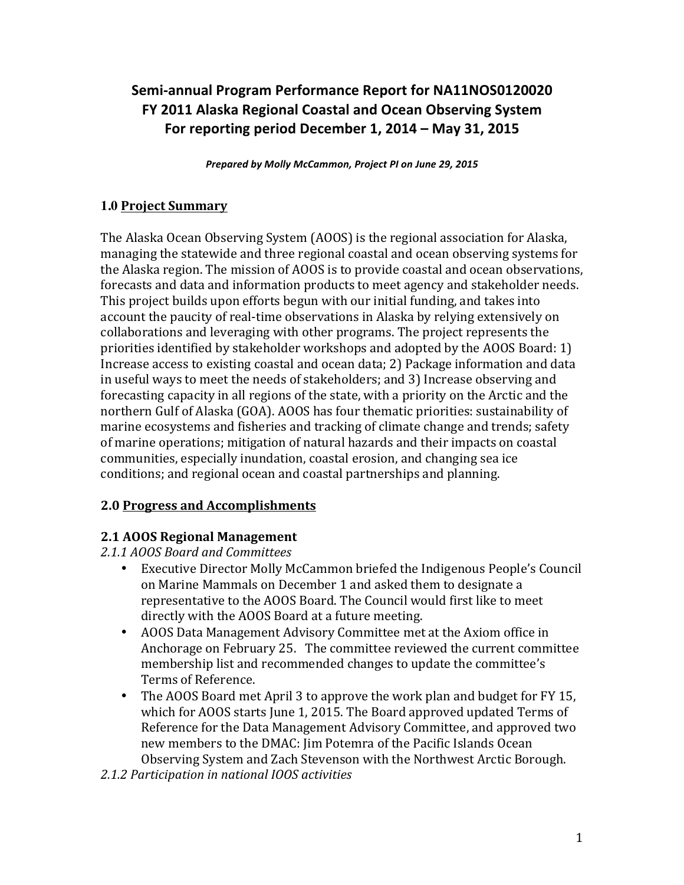# Semi-annual Program Performance Report for NA11NOS0120020 **FY 2011 Alaska Regional Coastal and Ocean Observing System For reporting period December 1, 2014 – May 31, 2015**

*Prepared by Molly McCammon, Project PI on June 29, 2015*

#### **1.0 Project Summary**

The Alaska Ocean Observing System (AOOS) is the regional association for Alaska, managing the statewide and three regional coastal and ocean observing systems for the Alaska region. The mission of AOOS is to provide coastal and ocean observations, forecasts and data and information products to meet agency and stakeholder needs. This project builds upon efforts begun with our initial funding, and takes into account the paucity of real-time observations in Alaska by relying extensively on collaborations and leveraging with other programs. The project represents the priorities identified by stakeholder workshops and adopted by the AOOS Board: 1) Increase access to existing coastal and ocean data; 2) Package information and data in useful ways to meet the needs of stakeholders; and 3) Increase observing and forecasting capacity in all regions of the state, with a priority on the Arctic and the northern Gulf of Alaska (GOA). AOOS has four thematic priorities: sustainability of marine ecosystems and fisheries and tracking of climate change and trends; safety of marine operations; mitigation of natural hazards and their impacts on coastal communities, especially inundation, coastal erosion, and changing sea ice conditions; and regional ocean and coastal partnerships and planning.

#### **2.0 Progress and Accomplishments**

#### **2.1 AOOS Regional Management**

*2.1.1 AOOS Board and Committees*

- Executive Director Molly McCammon briefed the Indigenous People's Council on Marine Mammals on December 1 and asked them to designate a representative to the AOOS Board. The Council would first like to meet directly with the AOOS Board at a future meeting.
- AOOS Data Management Advisory Committee met at the Axiom office in Anchorage on February 25. The committee reviewed the current committee membership list and recommended changes to update the committee's Terms of Reference.
- The AOOS Board met April 3 to approve the work plan and budget for FY 15, which for AOOS starts June 1, 2015. The Board approved updated Terms of Reference for the Data Management Advisory Committee, and approved two new members to the DMAC: Jim Potemra of the Pacific Islands Ocean Observing System and Zach Stevenson with the Northwest Arctic Borough.
- *2.1.2 Participation in national IOOS activities*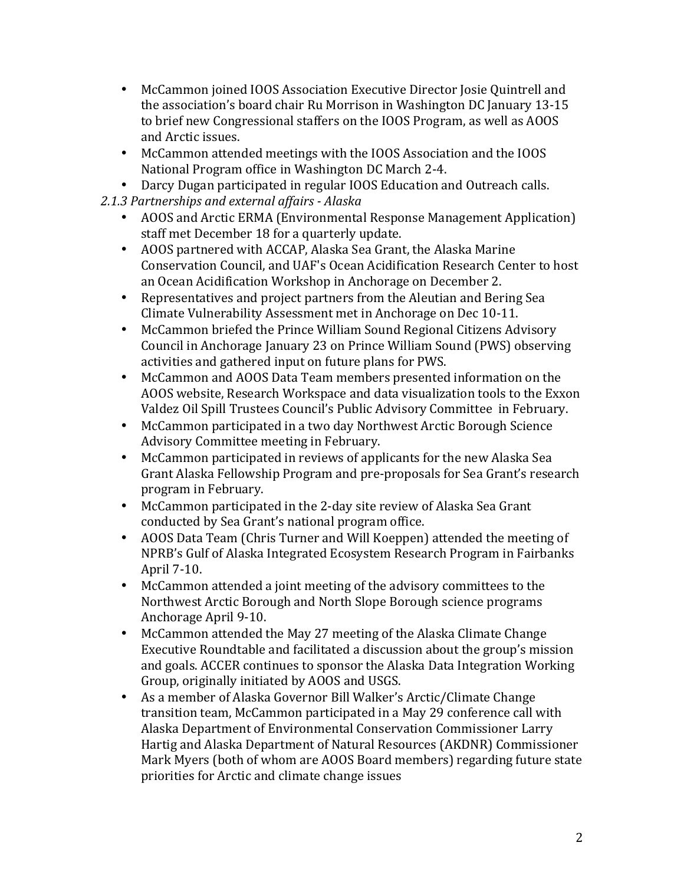- McCammon joined IOOS Association Executive Director Josie Quintrell and the association's board chair Ru Morrison in Washington DC January 13-15 to brief new Congressional staffers on the IOOS Program, as well as AOOS and Arctic issues.
- McCammon attended meetings with the IOOS Association and the IOOS National Program office in Washington DC March 2-4.
- Darcy Dugan participated in regular IOOS Education and Outreach calls.
- *2.1.3 Partnerships and external affairs - Alaska*
	- AOOS and Arctic ERMA (Environmental Response Management Application) staff met December 18 for a quarterly update.
	- AOOS partnered with ACCAP, Alaska Sea Grant, the Alaska Marine Conservation Council, and UAF's Ocean Acidification Research Center to host an Ocean Acidification Workshop in Anchorage on December 2.
	- Representatives and project partners from the Aleutian and Bering Sea Climate Vulnerability Assessment met in Anchorage on Dec 10-11.
	- McCammon briefed the Prince William Sound Regional Citizens Advisory Council in Anchorage January 23 on Prince William Sound (PWS) observing activities and gathered input on future plans for PWS.
	- McCammon and AOOS Data Team members presented information on the AOOS website, Research Workspace and data visualization tools to the Exxon Valdez Oil Spill Trustees Council's Public Advisory Committee in February.
	- McCammon participated in a two day Northwest Arctic Borough Science Advisory Committee meeting in February.
	- McCammon participated in reviews of applicants for the new Alaska Sea Grant Alaska Fellowship Program and pre-proposals for Sea Grant's research program in February.
	- McCammon participated in the 2-day site review of Alaska Sea Grant conducted by Sea Grant's national program office.
	- AOOS Data Team (Chris Turner and Will Koeppen) attended the meeting of NPRB's Gulf of Alaska Integrated Ecosystem Research Program in Fairbanks April 7-10.
	- McCammon attended a joint meeting of the advisory committees to the Northwest Arctic Borough and North Slope Borough science programs Anchorage April 9-10.
	- McCammon attended the May 27 meeting of the Alaska Climate Change Executive Roundtable and facilitated a discussion about the group's mission and goals. ACCER continues to sponsor the Alaska Data Integration Working Group, originally initiated by AOOS and USGS.
	- As a member of Alaska Governor Bill Walker's Arctic/Climate Change transition team, McCammon participated in a May 29 conference call with Alaska Department of Environmental Conservation Commissioner Larry Hartig and Alaska Department of Natural Resources (AKDNR) Commissioner Mark Myers (both of whom are AOOS Board members) regarding future state priorities for Arctic and climate change issues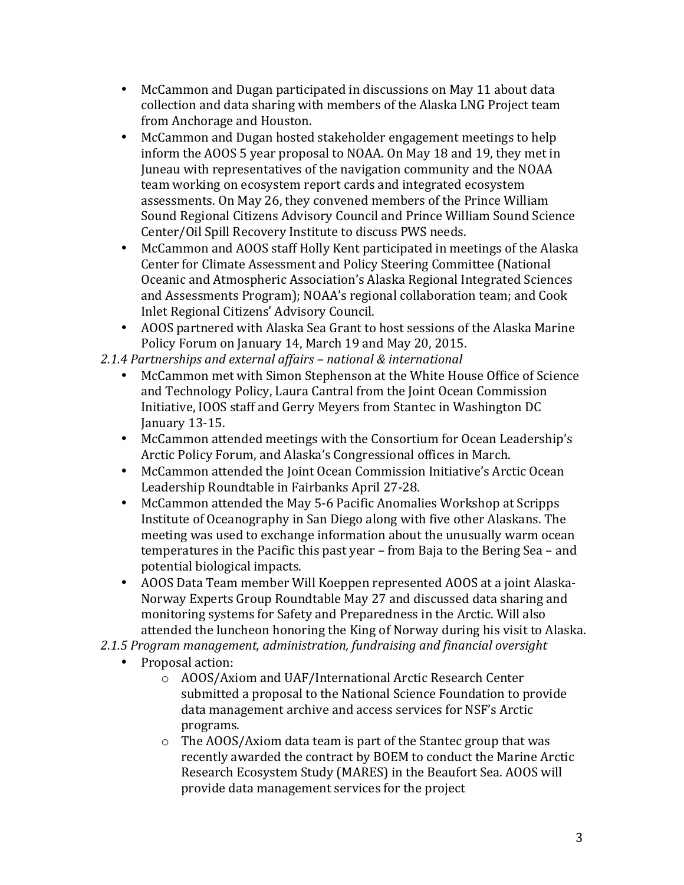- McCammon and Dugan participated in discussions on May 11 about data collection and data sharing with members of the Alaska LNG Project team from Anchorage and Houston.
- McCammon and Dugan hosted stakeholder engagement meetings to help inform the AOOS 5 year proposal to NOAA. On May 18 and 19, they met in Juneau with representatives of the navigation community and the NOAA team working on ecosystem report cards and integrated ecosystem assessments. On May 26, they convened members of the Prince William Sound Regional Citizens Advisory Council and Prince William Sound Science Center/Oil Spill Recovery Institute to discuss PWS needs.
- McCammon and AOOS staff Holly Kent participated in meetings of the Alaska Center for Climate Assessment and Policy Steering Committee (National Oceanic and Atmospheric Association's Alaska Regional Integrated Sciences and Assessments Program); NOAA's regional collaboration team; and Cook Inlet Regional Citizens' Advisory Council.
- AOOS partnered with Alaska Sea Grant to host sessions of the Alaska Marine Policy Forum on January 14, March 19 and May 20, 2015.
- *2.1.4 Partnerships and external affairs – national & international*
	- McCammon met with Simon Stephenson at the White House Office of Science and Technology Policy, Laura Cantral from the Joint Ocean Commission Initiative, IOOS staff and Gerry Meyers from Stantec in Washington DC January 13-15.
	- McCammon attended meetings with the Consortium for Ocean Leadership's Arctic Policy Forum, and Alaska's Congressional offices in March.
	- McCammon attended the Joint Ocean Commission Initiative's Arctic Ocean Leadership Roundtable in Fairbanks April 27-28.
	- McCammon attended the May 5-6 Pacific Anomalies Workshop at Scripps Institute of Oceanography in San Diego along with five other Alaskans. The meeting was used to exchange information about the unusually warm ocean  $temperatures$  in the Pacific this past year – from Baja to the Bering Sea – and potential biological impacts.
	- AOOS Data Team member Will Koeppen represented AOOS at a joint Alaska-Norway Experts Group Roundtable May 27 and discussed data sharing and monitoring systems for Safety and Preparedness in the Arctic. Will also attended the luncheon honoring the King of Norway during his visit to Alaska.
- 2.1.5 Program management, administration, fundraising and financial oversight
	- Proposal action:
		- o AOOS/Axiom and UAF/International Arctic Research Center submitted a proposal to the National Science Foundation to provide data management archive and access services for NSF's Arctic programs.
		- $\circ$  The AOOS/Axiom data team is part of the Stantec group that was recently awarded the contract by BOEM to conduct the Marine Arctic Research Ecosystem Study (MARES) in the Beaufort Sea. AOOS will provide data management services for the project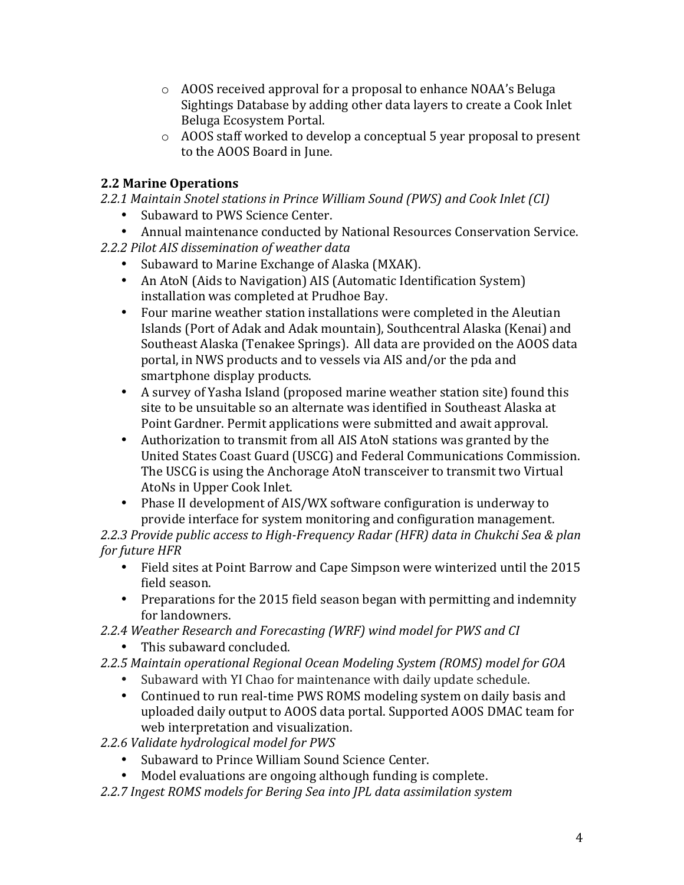- $\circ$  AOOS received approval for a proposal to enhance NOAA's Beluga Sightings Database by adding other data layers to create a Cook Inlet Beluga Ecosystem Portal.
- $\circ$  AOOS staff worked to develop a conceptual 5 year proposal to present to the AOOS Board in June.

#### **2.2 Marine Operations**

- *2.2.1 Maintain Snotel stations in Prince William Sound (PWS) and Cook Inlet (CI)*
	- Subaward to PWS Science Center.
	- Annual maintenance conducted by National Resources Conservation Service.
- *2.2.2 Pilot AIS dissemination of weather data*
	- Subaward to Marine Exchange of Alaska (MXAK).
	- An AtoN (Aids to Navigation) AIS (Automatic Identification System) installation was completed at Prudhoe Bay.
	- Four marine weather station installations were completed in the Aleutian Islands (Port of Adak and Adak mountain), Southcentral Alaska (Kenai) and Southeast Alaska (Tenakee Springs). All data are provided on the AOOS data portal, in NWS products and to vessels via AIS and/or the pda and smartphone display products.
	- A survey of Yasha Island (proposed marine weather station site) found this site to be unsuitable so an alternate was identified in Southeast Alaska at Point Gardner. Permit applications were submitted and await approval.
	- Authorization to transmit from all AIS AtoN stations was granted by the United States Coast Guard (USCG) and Federal Communications Commission. The USCG is using the Anchorage AtoN transceiver to transmit two Virtual AtoNs in Upper Cook Inlet.
	- Phase II development of AIS/WX software configuration is underway to provide interface for system monitoring and configuration management.

2.2.3 Provide public access to High-Frequency Radar (HFR) data in Chukchi Sea & plan *for future HFR* 

- Field sites at Point Barrow and Cape Simpson were winterized until the 2015 field season.
- Preparations for the 2015 field season began with permitting and indemnity for landowners.
- *2.2.4 Weather Research and Forecasting (WRF) wind model for PWS and CI*
	- This subaward concluded.
- *2.2.5 Maintain operational Regional Ocean Modeling System (ROMS) model for GOA*
	- Subaward with YI Chao for maintenance with daily update schedule.
	- Continued to run real-time PWS ROMS modeling system on daily basis and uploaded daily output to AOOS data portal. Supported AOOS DMAC team for web interpretation and visualization.
- 2.2.6 Validate hydrological model for PWS
	- Subaward to Prince William Sound Science Center.
	- Model evaluations are ongoing although funding is complete.
- 2.2.7 Ingest ROMS models for Bering Sea into JPL data assimilation system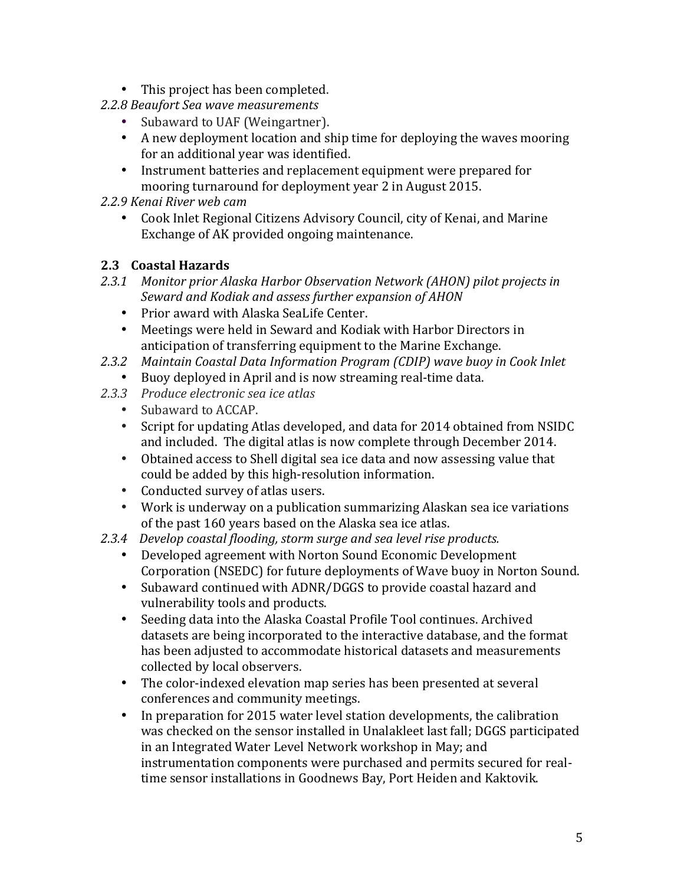- This project has been completed.
- *2.2.8 Beaufort Sea wave measurements*
	- Subaward to UAF (Weingartner).
	- A new deployment location and ship time for deploying the waves mooring for an additional year was identified.
	- Instrument batteries and replacement equipment were prepared for mooring turnaround for deployment year 2 in August 2015.
- *2.2.9 Kenai River web cam*
	- Cook Inlet Regional Citizens Advisory Council, city of Kenai, and Marine Exchange of AK provided ongoing maintenance.

# **2.3 Coastal Hazards**

- 2.3.1 Monitor prior Alaska Harbor Observation Network (AHON) pilot projects in Seward and Kodiak and assess further expansion of AHON
	- Prior award with Alaska SeaLife Center.
	- Meetings were held in Seward and Kodiak with Harbor Directors in anticipation of transferring equipment to the Marine Exchange.
- *2.3.2 Maintain Coastal Data Information Program (CDIP) wave buoy in Cook Inlet*
	- Buoy deployed in April and is now streaming real-time data.
- *2.3.3 Produce electronic sea ice atlas*
	- Subaward to ACCAP.
	- Script for updating Atlas developed, and data for 2014 obtained from NSIDC and included. The digital atlas is now complete through December 2014.
	- Obtained access to Shell digital sea ice data and now assessing value that could be added by this high-resolution information.
	- Conducted survey of atlas users.
	- Work is underway on a publication summarizing Alaskan sea ice variations of the past 160 years based on the Alaska sea ice atlas.
- 2.3.4 Develop coastal flooding, storm surge and sea level rise products.
	- Developed agreement with Norton Sound Economic Development Corporation (NSEDC) for future deployments of Wave buoy in Norton Sound.
	- Subaward continued with ADNR/DGGS to provide coastal hazard and vulnerability tools and products.
	- Seeding data into the Alaska Coastal Profile Tool continues. Archived datasets are being incorporated to the interactive database, and the format has been adjusted to accommodate historical datasets and measurements collected by local observers.
	- The color-indexed elevation map series has been presented at several conferences and community meetings.
	- In preparation for 2015 water level station developments, the calibration was checked on the sensor installed in Unalakleet last fall; DGGS participated in an Integrated Water Level Network workshop in May; and instrumentation components were purchased and permits secured for realtime sensor installations in Goodnews Bay, Port Heiden and Kaktovik.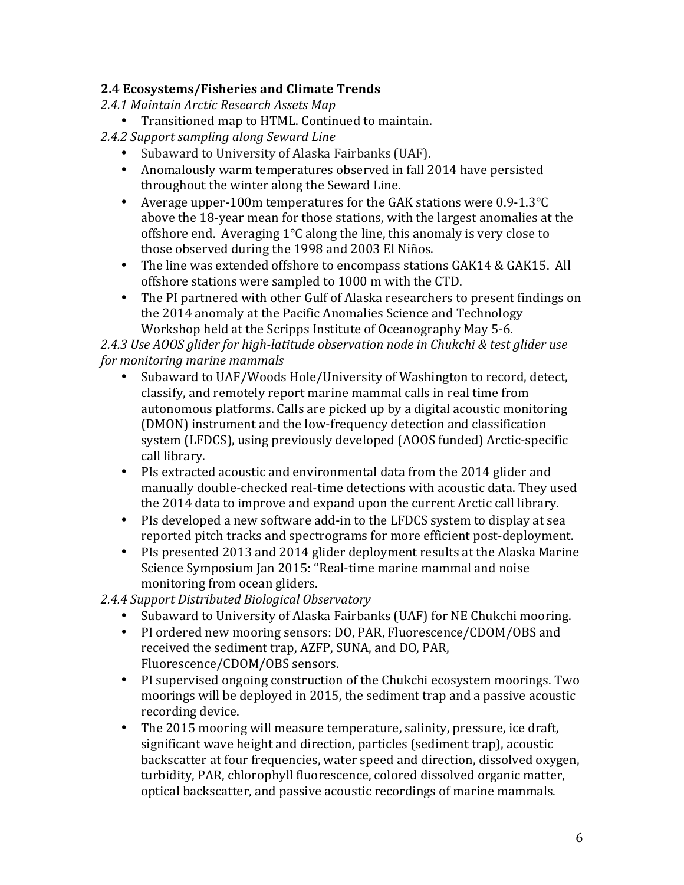#### **2.4 Ecosystems/Fisheries and Climate Trends**

- *2.4.1 Maintain Arctic Research Assets Map*
	- Transitioned map to HTML. Continued to maintain.
- 2.4.2 Support sampling along Seward Line
	- Subaward to University of Alaska Fairbanks (UAF).
	- Anomalously warm temperatures observed in fall 2014 have persisted throughout the winter along the Seward Line.
	- Average upper-100m temperatures for the GAK stations were  $0.9$ -1.3 $^{\circ}$ C above the 18-year mean for those stations, with the largest anomalies at the offshore end. Averaging  $1^{\circ}C$  along the line, this anomaly is very close to those observed during the 1998 and 2003 El Niños.
	- The line was extended offshore to encompass stations GAK14 & GAK15. All offshore stations were sampled to 1000 m with the CTD.
	- The PI partnered with other Gulf of Alaska researchers to present findings on the 2014 anomaly at the Pacific Anomalies Science and Technology Workshop held at the Scripps Institute of Oceanography May 5-6.

2.4.3 Use AOOS glider for high-latitude observation node in Chukchi & test glider use *for monitoring marine mammals* 

- Subaward to UAF/Woods Hole/University of Washington to record, detect, classify, and remotely report marine mammal calls in real time from autonomous platforms. Calls are picked up by a digital acoustic monitoring (DMON) instrument and the low-frequency detection and classification system (LFDCS), using previously developed (AOOS funded) Arctic-specific call library.
- PIs extracted acoustic and environmental data from the 2014 glider and manually double-checked real-time detections with acoustic data. They used the 2014 data to improve and expand upon the current Arctic call library.
- PIs developed a new software add-in to the LFDCS system to display at sea reported pitch tracks and spectrograms for more efficient post-deployment.
- PIs presented 2013 and 2014 glider deployment results at the Alaska Marine Science Symposium Jan 2015: "Real-time marine mammal and noise monitoring from ocean gliders.

*2.4.4 Support Distributed Biological Observatory*

- Subaward to University of Alaska Fairbanks (UAF) for NE Chukchi mooring.
- PI ordered new mooring sensors: DO, PAR, Fluorescence/CDOM/OBS and received the sediment trap, AZFP, SUNA, and DO, PAR, Fluorescence/CDOM/OBS sensors.
- PI supervised ongoing construction of the Chukchi ecosystem moorings. Two moorings will be deployed in 2015, the sediment trap and a passive acoustic recording device.
- The 2015 mooring will measure temperature, salinity, pressure, ice draft, significant wave height and direction, particles (sediment trap), acoustic backscatter at four frequencies, water speed and direction, dissolved oxygen, turbidity, PAR, chlorophyll fluorescence, colored dissolved organic matter, optical backscatter, and passive acoustic recordings of marine mammals.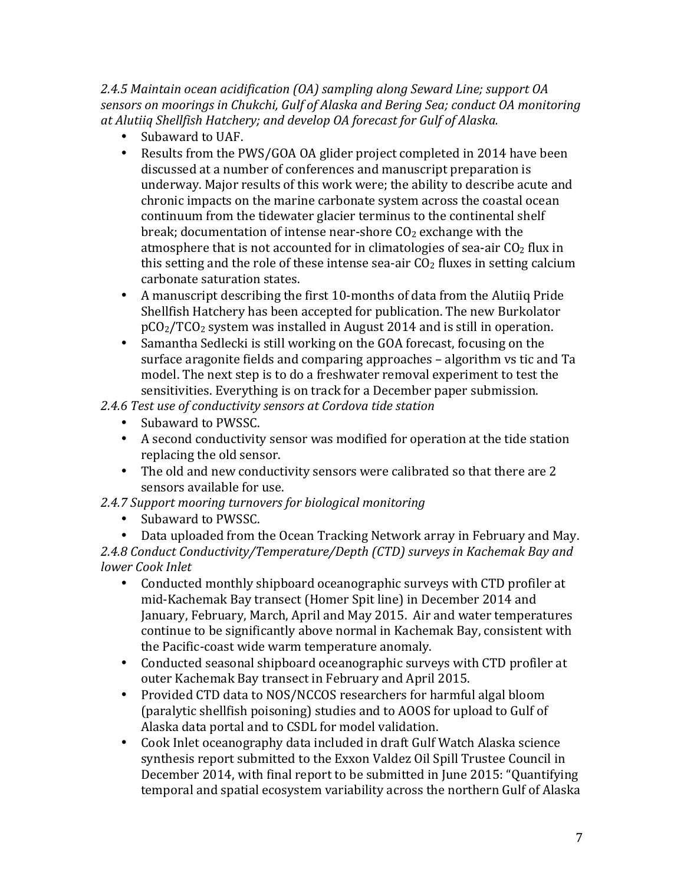*2.4.5 Maintain ocean acidification (OA) sampling along Seward Line; support OA*  sensors on moorings in Chukchi, Gulf of Alaska and Bering Sea; conduct OA monitoring *at Alutiiq Shellfish Hatchery; and develop OA forecast for Gulf of Alaska.*

- Subaward to UAF.
- Results from the PWS/GOA OA glider project completed in 2014 have been discussed at a number of conferences and manuscript preparation is underway. Major results of this work were; the ability to describe acute and chronic impacts on the marine carbonate system across the coastal ocean continuum from the tidewater glacier terminus to the continental shelf break; documentation of intense near-shore  $CO<sub>2</sub>$  exchange with the atmosphere that is not accounted for in climatologies of sea-air  $CO<sub>2</sub>$  flux in this setting and the role of these intense sea-air  $CO<sub>2</sub>$  fluxes in setting calcium carbonate saturation states.
- A manuscript describing the first 10-months of data from the Alutiiq Pride Shellfish Hatchery has been accepted for publication. The new Burkolator  $pCO<sub>2</sub>/TCO<sub>2</sub>$  system was installed in August 2014 and is still in operation.
- Samantha Sedlecki is still working on the GOA forecast, focusing on the surface aragonite fields and comparing approaches – algorithm vs tic and Ta model. The next step is to do a freshwater removal experiment to test the sensitivities. Everything is on track for a December paper submission.

2.4.6 Test use of conductivity sensors at Cordova tide station

- Subaward to PWSSC.
- A second conductivity sensor was modified for operation at the tide station replacing the old sensor.
- The old and new conductivity sensors were calibrated so that there are 2 sensors available for use.
- 2.4.7 Support mooring turnovers for biological monitoring
	- Subaward to PWSSC.

• Data uploaded from the Ocean Tracking Network array in February and May. 2.4.8 Conduct Conductivity/Temperature/Depth (CTD) surveys in Kachemak Bay and *lower Cook Inlet*

- Conducted monthly shipboard oceanographic surveys with CTD profiler at mid-Kachemak Bay transect (Homer Spit line) in December 2014 and January, February, March, April and May 2015. Air and water temperatures continue to be significantly above normal in Kachemak Bay, consistent with the Pacific-coast wide warm temperature anomaly.
- Conducted seasonal shipboard oceanographic surveys with CTD profiler at outer Kachemak Bay transect in February and April 2015.
- Provided CTD data to NOS/NCCOS researchers for harmful algal bloom (paralytic shellfish poisoning) studies and to AOOS for upload to Gulf of Alaska data portal and to CSDL for model validation.
- Cook Inlet oceanography data included in draft Gulf Watch Alaska science synthesis report submitted to the Exxon Valdez Oil Spill Trustee Council in December 2014, with final report to be submitted in June 2015: "Quantifying temporal and spatial ecosystem variability across the northern Gulf of Alaska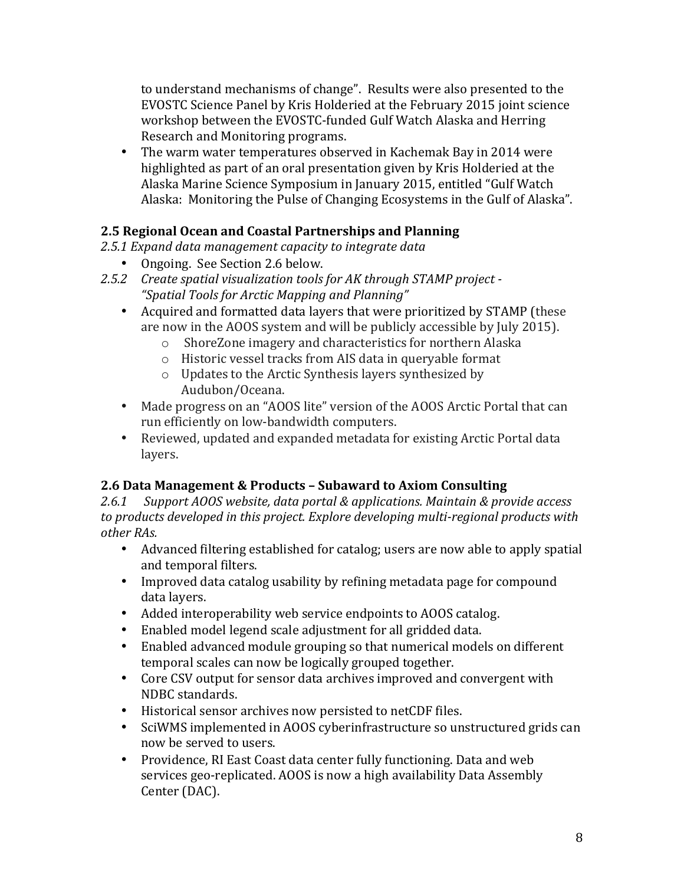to understand mechanisms of change". Results were also presented to the EVOSTC Science Panel by Kris Holderied at the February 2015 joint science workshop between the EVOSTC-funded Gulf Watch Alaska and Herring Research and Monitoring programs.

• The warm water temperatures observed in Kachemak Bay in 2014 were highlighted as part of an oral presentation given by Kris Holderied at the Alaska Marine Science Symposium in January 2015, entitled "Gulf Watch Alaska: Monitoring the Pulse of Changing Ecosystems in the Gulf of Alaska".

# **2.5 Regional Ocean and Coastal Partnerships and Planning**

- 2.5.1 Expand data management capacity to integrate data
	- Ongoing. See Section 2.6 below.
- 2.5.2 Create spatial visualization tools for AK through STAMP project -*"Spatial Tools for Arctic Mapping and Planning"*
	- Acquired and formatted data layers that were prioritized by STAMP (these are now in the AOOS system and will be publicly accessible by July 2015).
		- o ShoreZone imagery and characteristics for northern Alaska
		- $\circ$  Historic vessel tracks from AIS data in queryable format
		- $\circ$  Updates to the Arctic Synthesis layers synthesized by Audubon/Oceana.
	- Made progress on an "AOOS lite" version of the AOOS Arctic Portal that can run efficiently on low-bandwidth computers.
	- Reviewed, updated and expanded metadata for existing Arctic Portal data layers.

# **2.6 Data Management & Products – Subaward to Axiom Consulting**

2.6.1 Support AOOS website, data portal & applications. Maintain & provide access to products developed in this project. Explore developing multi-regional products with *other RAs.*

- Advanced filtering established for catalog; users are now able to apply spatial and temporal filters.
- Improved data catalog usability by refining metadata page for compound data layers.
- Added interoperability web service endpoints to AOOS catalog.
- Enabled model legend scale adjustment for all gridded data.
- Enabled advanced module grouping so that numerical models on different temporal scales can now be logically grouped together.
- Core CSV output for sensor data archives improved and convergent with NDBC standards.
- Historical sensor archives now persisted to netCDF files.
- SciWMS implemented in AOOS cyberinfrastructure so unstructured grids can now be served to users.
- Providence, RI East Coast data center fully functioning. Data and web services geo-replicated. AOOS is now a high availability Data Assembly Center (DAC).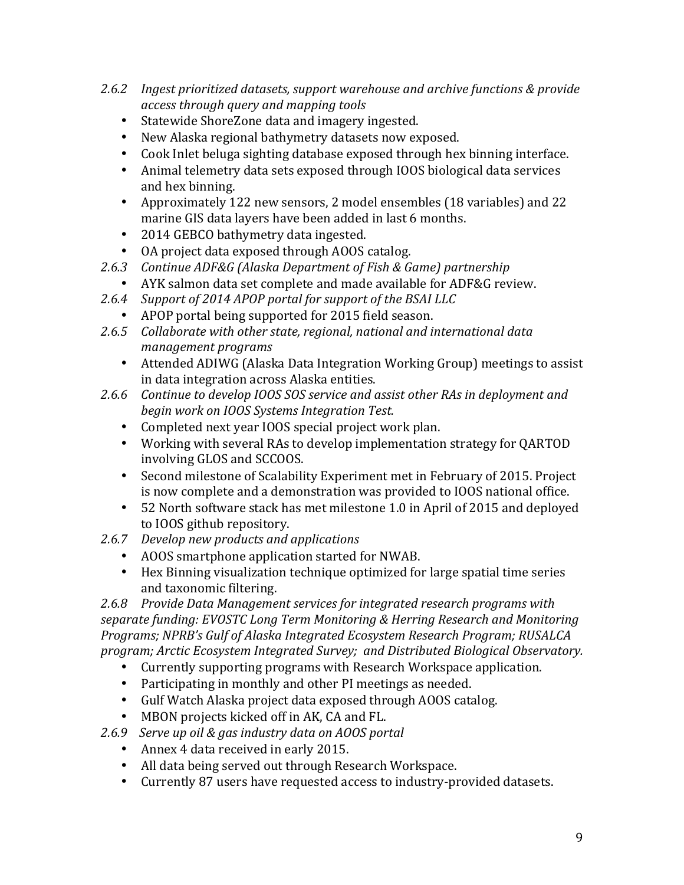- 2.6.2 Ingest prioritized datasets, support warehouse and archive functions & provide *access through query and mapping tools*
	- Statewide ShoreZone data and imagery ingested.
	- New Alaska regional bathymetry datasets now exposed.
	- Cook Inlet beluga sighting database exposed through hex binning interface.
	- Animal telemetry data sets exposed through IOOS biological data services and hex binning.
	- Approximately 122 new sensors, 2 model ensembles (18 variables) and 22 marine GIS data layers have been added in last 6 months.
	- 2014 GEBCO bathymetry data ingested.
	- OA project data exposed through AOOS catalog.
- 2.6.3 Continue ADF&G (Alaska Department of Fish & Game) partnership
	- AYK salmon data set complete and made available for ADF&G review.
- 2.6.4 Support of 2014 APOP portal for support of the BSAI LLC
	- APOP portal being supported for 2015 field season.
- 2.6.5 Collaborate with other state, regional, national and international data *management programs*
	- Attended ADIWG (Alaska Data Integration Working Group) meetings to assist in data integration across Alaska entities.
- 2.6.6 *Continue to develop IOOS SOS service and assist other RAs in deployment and begin work on IOOS Systems Integration Test.*
	- Completed next year IOOS special project work plan.
	- Working with several RAs to develop implementation strategy for OARTOD involving GLOS and SCCOOS.
	- Second milestone of Scalability Experiment met in February of 2015. Project is now complete and a demonstration was provided to IOOS national office.
	- 52 North software stack has met milestone 1.0 in April of 2015 and deployed to IOOS github repository.
- 2.6.7 *Develop new products and applications* 
	- AOOS smartphone application started for NWAB.
	- Hex Binning visualization technique optimized for large spatial time series and taxonomic filtering.

2.6.8 Provide Data Management services for integrated research programs with *separate funding: EVOSTC Long Term Monitoring & Herring Research and Monitoring* Programs; NPRB's Gulf of Alaska Integrated *Ecosystem Research Program; RUSALCA program; Arctic Ecosystem Integrated Survey; and Distributed Biological Observatory.*

- Currently supporting programs with Research Workspace application.
- Participating in monthly and other PI meetings as needed.
- Gulf Watch Alaska project data exposed through AOOS catalog.
- MBON projects kicked off in AK, CA and FL.
- *2.6.9 Serve up oil & gas industry data on AOOS portal*
	- Annex 4 data received in early 2015.
	- All data being served out through Research Workspace.
	- Currently 87 users have requested access to industry-provided datasets.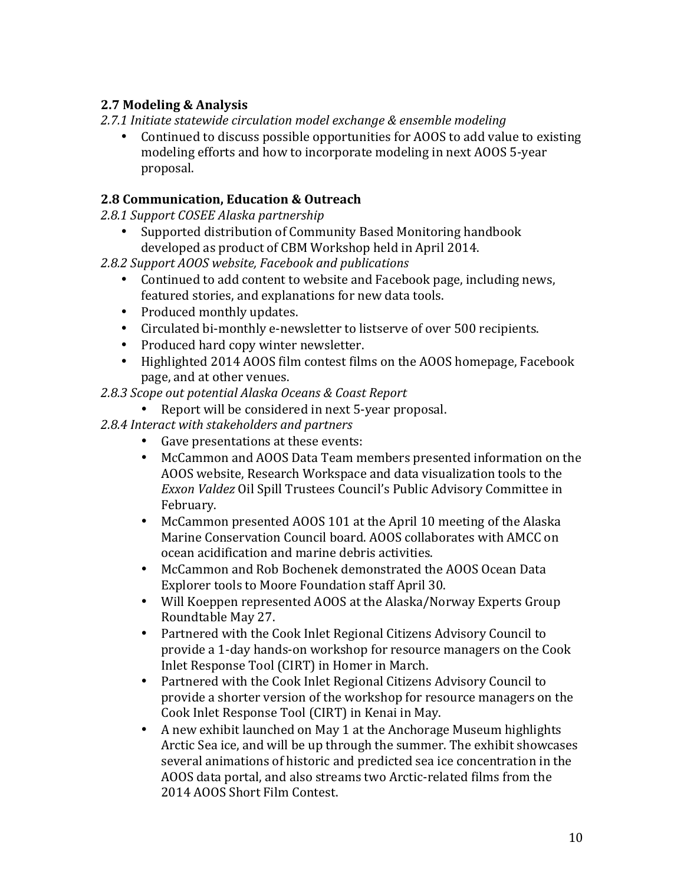# **2.7 Modeling & Analysis**

- 2.7.1 Initiate statewide circulation model exchange & ensemble modeling
	- Continued to discuss possible opportunities for AOOS to add value to existing modeling efforts and how to incorporate modeling in next AOOS 5-year proposal.

#### **2.8 Communication, Education & Outreach**

- *2.8.1 Support COSEE Alaska partnership*
	- Supported distribution of Community Based Monitoring handbook developed as product of CBM Workshop held in April 2014.
- *2.8.2 Support AOOS website, Facebook and publications*
	- Continued to add content to website and Facebook page, including news, featured stories, and explanations for new data tools.
	- Produced monthly updates.
	- Circulated bi-monthly e-newsletter to listserve of over 500 recipients.
	- Produced hard copy winter newsletter.
	- Highlighted 2014 AOOS film contest films on the AOOS homepage, Facebook page, and at other venues.

#### 2.8.3 *Scope out potential Alaska Oceans & Coast Report*

- Report will be considered in next 5-year proposal.
- 2.8.4 Interact with stakeholders and partners
	- Gave presentations at these events:
	- McCammon and AOOS Data Team members presented information on the AOOS website, Research Workspace and data visualization tools to the *Exxon Valdez* Oil Spill Trustees Council's Public Advisory Committee in February.
	- McCammon presented AOOS 101 at the April 10 meeting of the Alaska Marine Conservation Council board. AOOS collaborates with AMCC on ocean acidification and marine debris activities.
	- McCammon and Rob Bochenek demonstrated the AOOS Ocean Data Explorer tools to Moore Foundation staff April 30.
	- Will Koeppen represented AOOS at the Alaska/Norway Experts Group Roundtable May 27.
	- Partnered with the Cook Inlet Regional Citizens Advisory Council to provide a 1-day hands-on workshop for resource managers on the Cook Inlet Response Tool (CIRT) in Homer in March.
	- Partnered with the Cook Inlet Regional Citizens Advisory Council to provide a shorter version of the workshop for resource managers on the Cook Inlet Response Tool (CIRT) in Kenai in May.
	- A new exhibit launched on May 1 at the Anchorage Museum highlights Arctic Sea ice, and will be up through the summer. The exhibit showcases several animations of historic and predicted sea ice concentration in the AOOS data portal, and also streams two Arctic-related films from the 2014 AOOS Short Film Contest.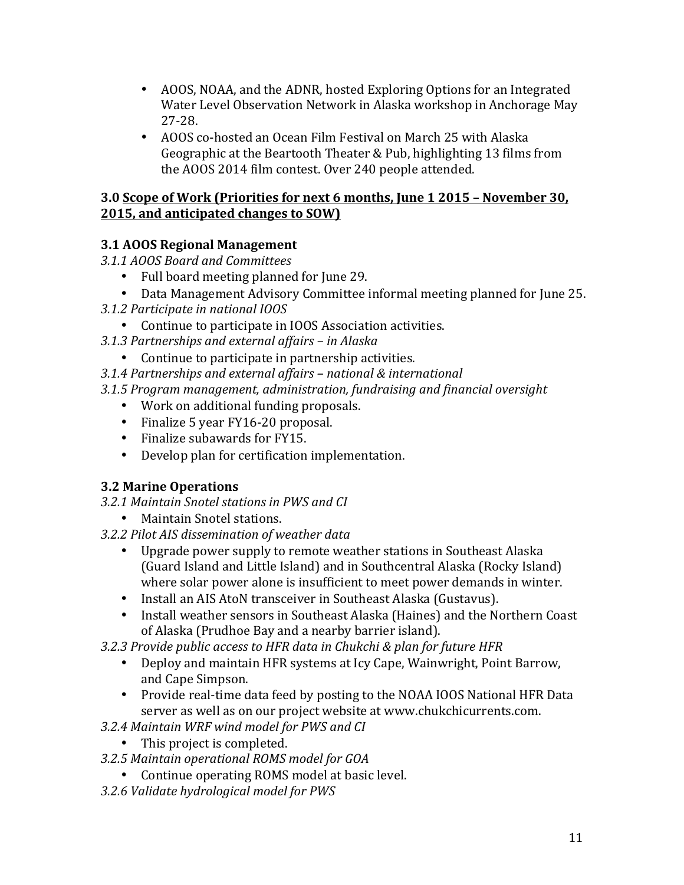- AOOS, NOAA, and the ADNR, hosted Exploring Options for an Integrated Water Level Observation Network in Alaska workshop in Anchorage May 27-28.
- AOOS co-hosted an Ocean Film Festival on March 25 with Alaska Geographic at the Beartooth Theater & Pub, highlighting 13 films from the AOOS 2014 film contest. Over 240 people attended.

#### **3.0 Scope of Work (Priorities for next 6 months, June 1 2015 - November 30, 2015, and anticipated changes to SOW)**

# **3.1 AOOS Regional Management**

*3.1.1 AOOS Board and Committees*

- Full board meeting planned for June 29.
- Data Management Advisory Committee informal meeting planned for June 25.
- *3.1.2 Participate in national IOOS*
	- Continue to participate in IOOS Association activities.
- *3.1.3 Partnerships and external affairs – in Alaska*
	- Continue to participate in partnership activities.
- *3.1.4 Partnerships and external affairs – national & international*
- *3.1.5 Program management, administration, fundraising and financial oversight*
	- Work on additional funding proposals.
	- Finalize 5 year FY16-20 proposal.
	- Finalize subawards for FY15.
	- Develop plan for certification implementation.

# **3.2 Marine Operations**

- *3.2.1 Maintain Snotel stations in PWS and CI*
	- Maintain Snotel stations.
- *3.2.2 Pilot AIS dissemination of weather data*
	- Upgrade power supply to remote weather stations in Southeast Alaska (Guard Island and Little Island) and in Southcentral Alaska (Rocky Island) where solar power alone is insufficient to meet power demands in winter.
	- Install an AIS AtoN transceiver in Southeast Alaska (Gustavus).
	- Install weather sensors in Southeast Alaska (Haines) and the Northern Coast of Alaska (Prudhoe Bay and a nearby barrier island).
- *3.2.3 Provide public access to HFR data in Chukchi & plan for future HFR*
	- Deploy and maintain HFR systems at Icy Cape, Wainwright, Point Barrow, and Cape Simpson.
	- Provide real-time data feed by posting to the NOAA IOOS National HFR Data server as well as on our project website at www.chukchicurrents.com.
- *3.2.4 Maintain WRF wind model for PWS and CI*
	- This project is completed.
- *3.2.5 Maintain operational ROMS model for GOA*
	- Continue operating ROMS model at basic level.
- *3.2.6 Validate hydrological model for PWS*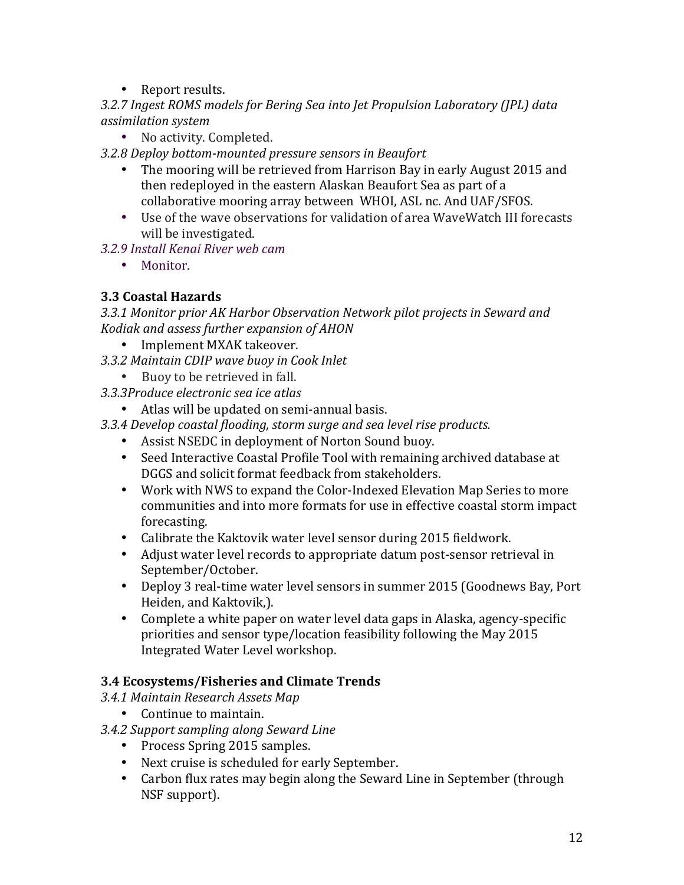• Report results.

3.2.7 Ingest ROMS models for Bering Sea into Jet Propulsion Laboratory (JPL) data *assimilation system*

• No activity. Completed.

*3.2.8 Deploy bottom-mounted pressure sensors in Beaufort*

- The mooring will be retrieved from Harrison Bay in early August 2015 and then redeployed in the eastern Alaskan Beaufort Sea as part of a collaborative mooring array between WHOI, ASL nc. And UAF/SFOS.
- Use of the wave observations for validation of area WaveWatch III forecasts will be investigated.
- *3.2.9 Install Kenai River web cam*
	- Monitor.

# **3.3 Coastal Hazards**

3.3.1 Monitor prior AK Harbor Observation Network pilot projects in Seward and *Kodiak and assess further expansion of AHON*

- Implement MXAK takeover.
- *3.3.2 Maintain CDIP wave buoy in Cook Inlet*
	- Buoy to be retrieved in fall.
- *3.3.3Produce electronic sea ice atlas*
	- Atlas will be updated on semi-annual basis.
- *3.3.4 Develop coastal flooding, storm surge and sea level rise products.*
	- Assist NSEDC in deployment of Norton Sound buoy.
	- Seed Interactive Coastal Profile Tool with remaining archived database at DGGS and solicit format feedback from stakeholders.
	- Work with NWS to expand the Color-Indexed Elevation Map Series to more communities and into more formats for use in effective coastal storm impact forecasting.
	- Calibrate the Kaktovik water level sensor during 2015 fieldwork.
	- Adjust water level records to appropriate datum post-sensor retrieval in September/October.
	- Deploy 3 real-time water level sensors in summer 2015 (Goodnews Bay, Port Heiden, and Kaktovik,).
	- Complete a white paper on water level data gaps in Alaska, agency-specific priorities and sensor type/location feasibility following the May 2015 Integrated Water Level workshop.

# **3.4 Ecosystems/Fisheries and Climate Trends**

- *3.4.1 Maintain Research Assets Map*
	- Continue to maintain.

# *3.4.2 Support sampling along Seward Line*

- Process Spring 2015 samples.
- Next cruise is scheduled for early September.
- Carbon flux rates may begin along the Seward Line in September (through NSF support).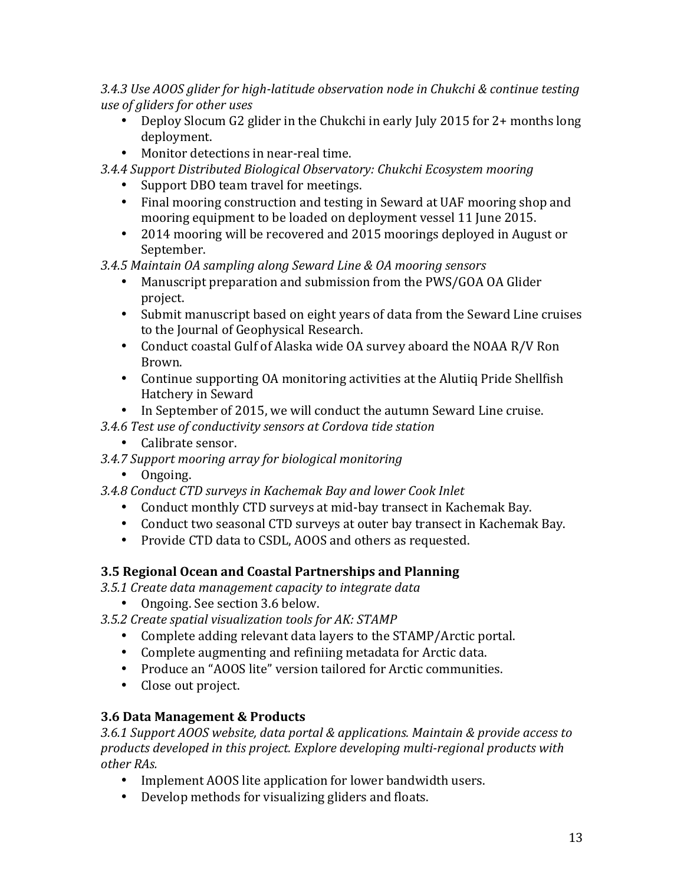*3.4.3 Use AOOS glider for high-latitude observation node in Chukchi & continue testing use of gliders for other uses*

- Deploy Slocum G2 glider in the Chukchi in early July 2015 for 2+ months long deployment.
- Monitor detections in near-real time.
- *3.4.4 Support Distributed Biological Observatory: Chukchi Ecosystem mooring*
	- Support DBO team travel for meetings.
	- Final mooring construction and testing in Seward at UAF mooring shop and mooring equipment to be loaded on deployment vessel 11 June 2015.
	- 2014 mooring will be recovered and 2015 moorings deployed in August or September.
- *3.4.5 Maintain OA sampling along Seward Line & OA mooring sensors*
	- Manuscript preparation and submission from the PWS/GOA OA Glider project.
	- Submit manuscript based on eight years of data from the Seward Line cruises to the Journal of Geophysical Research.
	- Conduct coastal Gulf of Alaska wide OA survey aboard the NOAA R/V Ron Brown.
	- Continue supporting OA monitoring activities at the Alutiiq Pride Shellfish Hatchery in Seward
	- In September of 2015, we will conduct the autumn Seward Line cruise.
- *3.4.6 Test use of conductivity sensors at Cordova tide station*
	- Calibrate sensor.
- *3.4.7 Support mooring array for biological monitoring*
	- Ongoing.
- *3.4.8 Conduct CTD surveys in Kachemak Bay and lower Cook Inlet*
	- Conduct monthly CTD surveys at mid-bay transect in Kachemak Bay.
	- Conduct two seasonal CTD surveys at outer bay transect in Kachemak Bay.
	- Provide CTD data to CSDL, AOOS and others as requested.

# **3.5 Regional Ocean and Coastal Partnerships and Planning**

- *3.5.1 Create data management capacity to integrate data*
	- Ongoing. See section 3.6 below.
- 3.5.2 Create spatial visualization tools for AK: STAMP
	- Complete adding relevant data layers to the STAMP/Arctic portal.
	- Complete augmenting and refiniing metadata for Arctic data.
	- Produce an "AOOS lite" version tailored for Arctic communities.
	- Close out project.

# **3.6 Data Management & Products**

3.6.1 Support AOOS website, data portal & applications. Maintain & provide access to products developed in this project. Explore developing multi-regional products with *other RAs.*

- Implement AOOS lite application for lower bandwidth users.
- Develop methods for visualizing gliders and floats.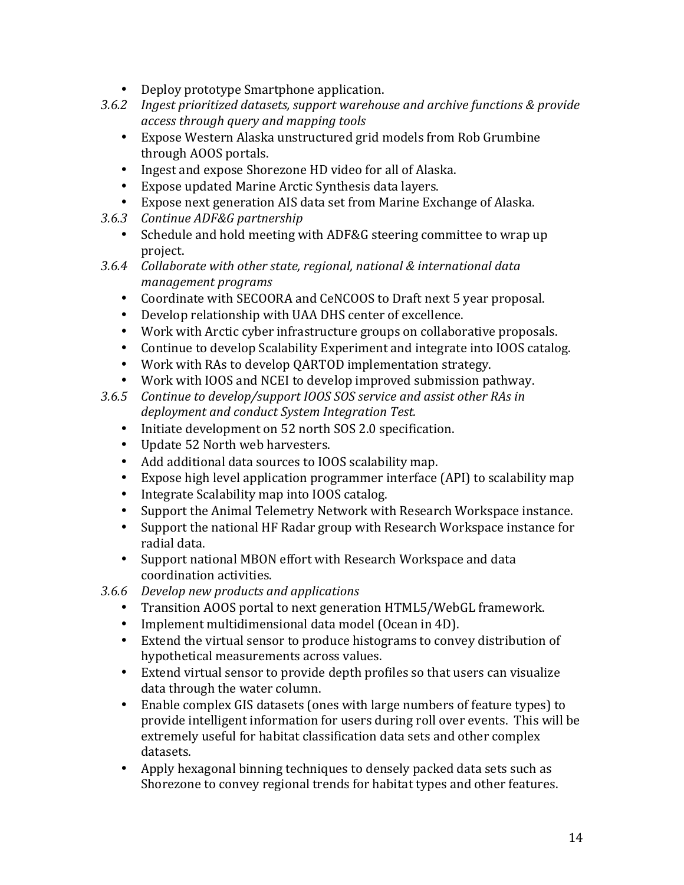- Deploy prototype Smartphone application.
- 3.6.2 Ingest prioritized datasets, support warehouse and archive functions & provide *access through query and mapping tools*
	- Expose Western Alaska unstructured grid models from Rob Grumbine through AOOS portals.
	- Ingest and expose Shorezone HD video for all of Alaska.
	- Expose updated Marine Arctic Synthesis data layers.
	- Expose next generation AIS data set from Marine Exchange of Alaska.
- *3.6.3 Continue ADF&G partnership*
	- Schedule and hold meeting with ADF&G steering committee to wrap up project.
- 3.6.4 Collaborate with other state, regional, national & international data *management programs*
	- Coordinate with SECOORA and CeNCOOS to Draft next 5 year proposal.
	- Develop relationship with UAA DHS center of excellence.
	- Work with Arctic cyber infrastructure groups on collaborative proposals.
	- Continue to develop Scalability Experiment and integrate into IOOS catalog.
	- Work with RAs to develop QARTOD implementation strategy.
	- Work with IOOS and NCEI to develop improved submission pathway.

3.6.5 Continue to develop/support IOOS SOS service and assist other RAs in *deployment and conduct System Integration Test.*

- Initiate development on 52 north SOS 2.0 specification.
- Update 52 North web harvesters.
- Add additional data sources to IOOS scalability map.
- Expose high level application programmer interface (API) to scalability map
- Integrate Scalability map into IOOS catalog.
- Support the Animal Telemetry Network with Research Workspace instance.
- Support the national HF Radar group with Research Workspace instance for radial data.
- Support national MBON effort with Research Workspace and data coordination activities.
- *3.6.6 Develop new products and applications* 
	- Transition AOOS portal to next generation HTML5/WebGL framework.
	- Implement multidimensional data model (Ocean in 4D).
	- Extend the virtual sensor to produce histograms to convey distribution of hypothetical measurements across values.
	- Extend virtual sensor to provide depth profiles so that users can visualize data through the water column.
	- Enable complex GIS datasets (ones with large numbers of feature types) to provide intelligent information for users during roll over events. This will be extremely useful for habitat classification data sets and other complex datasets.
	- Apply hexagonal binning techniques to densely packed data sets such as Shorezone to convey regional trends for habitat types and other features.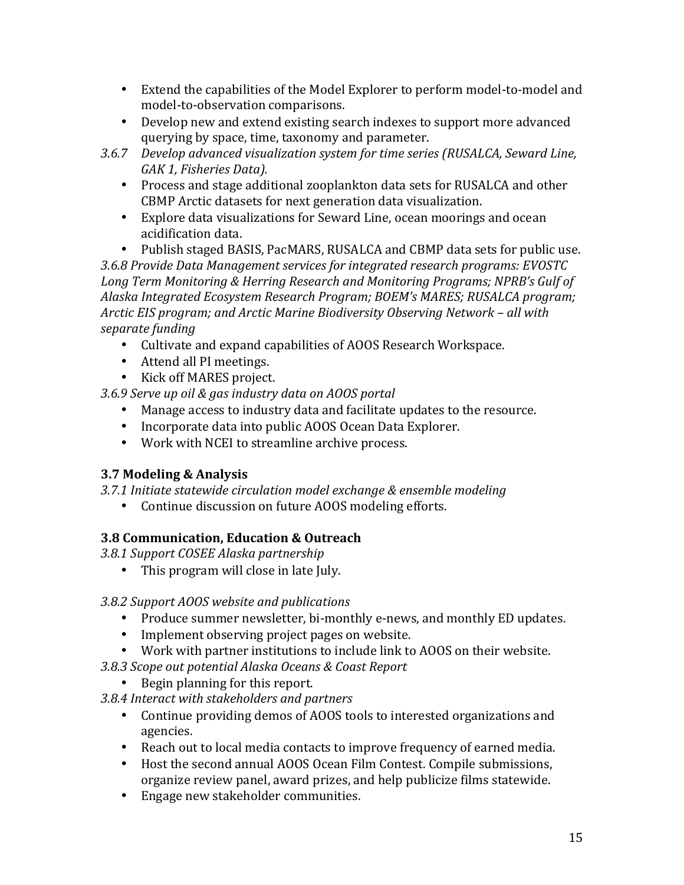- Extend the capabilities of the Model Explorer to perform model-to-model and model-to-observation comparisons.
- Develop new and extend existing search indexes to support more advanced querving by space, time, taxonomy and parameter.
- 3.6.7 *Develop advanced visualization system for time series (RUSALCA, Seward Line,* GAK 1, Fisheries Data).
	- Process and stage additional zooplankton data sets for RUSALCA and other CBMP Arctic datasets for next generation data visualization.
	- Explore data visualizations for Seward Line, ocean moorings and ocean acidification data.
	- Publish staged BASIS, PacMARS, RUSALCA and CBMP data sets for public use.

*3.6.8 Provide Data Management services for integrated research programs: EVOSTC*  Long Term Monitoring & Herring Research and Monitoring Programs; NPRB's Gulf of Alaska Integrated *Ecosystem Research Program; BOEM's MARES; RUSALCA program; Arctic EIS program; and Arctic Marine Biodiversity Observing Network – all with separate funding*

- Cultivate and expand capabilities of AOOS Research Workspace.
- Attend all PI meetings.
- Kick off MARES project.

*3.6.9 Serve up oil & gas industry data on AOOS portal*

- Manage access to industry data and facilitate updates to the resource.
- Incorporate data into public AOOS Ocean Data Explorer.
- Work with NCEI to streamline archive process.

# **3.7 Modeling & Analysis**

3.7.1 Initiate statewide circulation model exchange & ensemble modeling

• Continue discussion on future AOOS modeling efforts.

# **3.8 Communication, Education & Outreach**

*3.8.1 Support COSEE Alaska partnership*

• This program will close in late July.

#### *3.8.2 Support AOOS website and publications*

- Produce summer newsletter, bi-monthly e-news, and monthly ED updates.
- Implement observing project pages on website.
- Work with partner institutions to include link to AOOS on their website.
- *3.8.3 Scope out potential Alaska Oceans & Coast Report*
	- Begin planning for this report.
- *3.8.4 Interact with stakeholders and partners*
	- Continue providing demos of AOOS tools to interested organizations and agencies.
	- Reach out to local media contacts to improve frequency of earned media.
	- Host the second annual AOOS Ocean Film Contest. Compile submissions, organize review panel, award prizes, and help publicize films statewide.
	- Engage new stakeholder communities.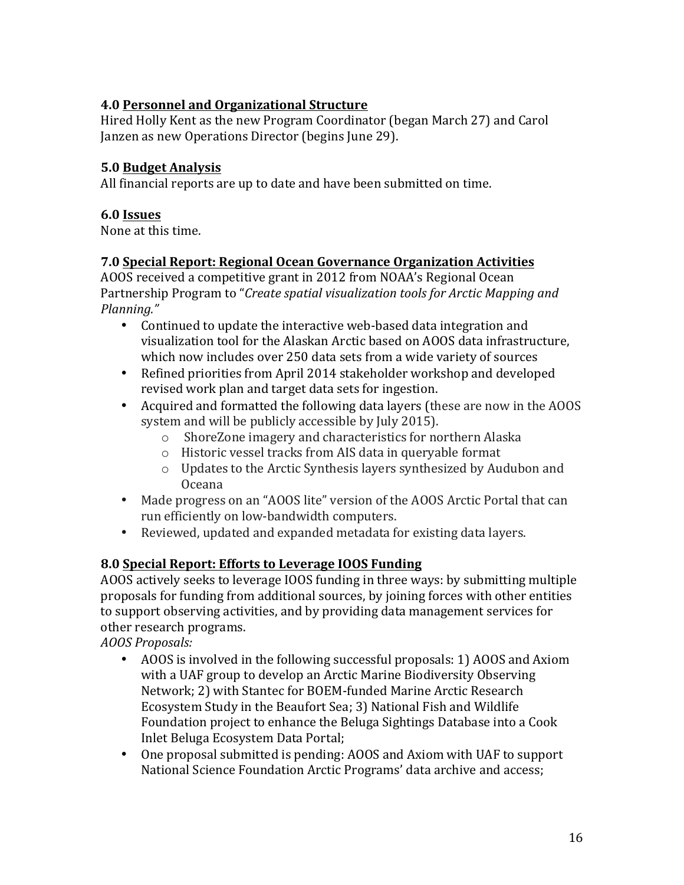#### **4.0 Personnel and Organizational Structure**

Hired Holly Kent as the new Program Coordinator (began March 27) and Carol Janzen as new Operations Director (begins June 29).

#### **5.0 Budget Analysis**

All financial reports are up to date and have been submitted on time.

#### **6.0 Issues**

None at this time.

#### **7.0 Special Report: Regional Ocean Governance Organization Activities**

AOOS received a competitive grant in 2012 from NOAA's Regional Ocean Partnership Program to "*Create spatial visualization tools for Arctic Mapping and Planning."* 

- Continued to update the interactive web-based data integration and visualization tool for the Alaskan Arctic based on AOOS data infrastructure, which now includes over 250 data sets from a wide variety of sources
- Refined priorities from April 2014 stakeholder workshop and developed revised work plan and target data sets for ingestion.
- Acquired and formatted the following data layers (these are now in the AOOS system and will be publicly accessible by July 2015).
	- $\circ$  ShoreZone imagery and characteristics for northern Alaska
	- $\circ$  Historic vessel tracks from AIS data in queryable format
	- $\circ$  Updates to the Arctic Synthesis layers synthesized by Audubon and Oceana
- Made progress on an "AOOS lite" version of the AOOS Arctic Portal that can run efficiently on low-bandwidth computers.
- Reviewed, updated and expanded metadata for existing data layers.

# **8.0 Special Report: Efforts to Leverage IOOS Funding**

AOOS actively seeks to leverage IOOS funding in three ways: by submitting multiple proposals for funding from additional sources, by joining forces with other entities to support observing activities, and by providing data management services for other research programs.

*AOOS Proposals:*

- AOOS is involved in the following successful proposals: 1) AOOS and Axiom with a UAF group to develop an Arctic Marine Biodiversity Observing Network; 2) with Stantec for BOEM-funded Marine Arctic Research Ecosystem Study in the Beaufort Sea; 3) National Fish and Wildlife Foundation project to enhance the Beluga Sightings Database into a Cook Inlet Beluga Ecosystem Data Portal;
- One proposal submitted is pending: AOOS and Axiom with UAF to support National Science Foundation Arctic Programs' data archive and access;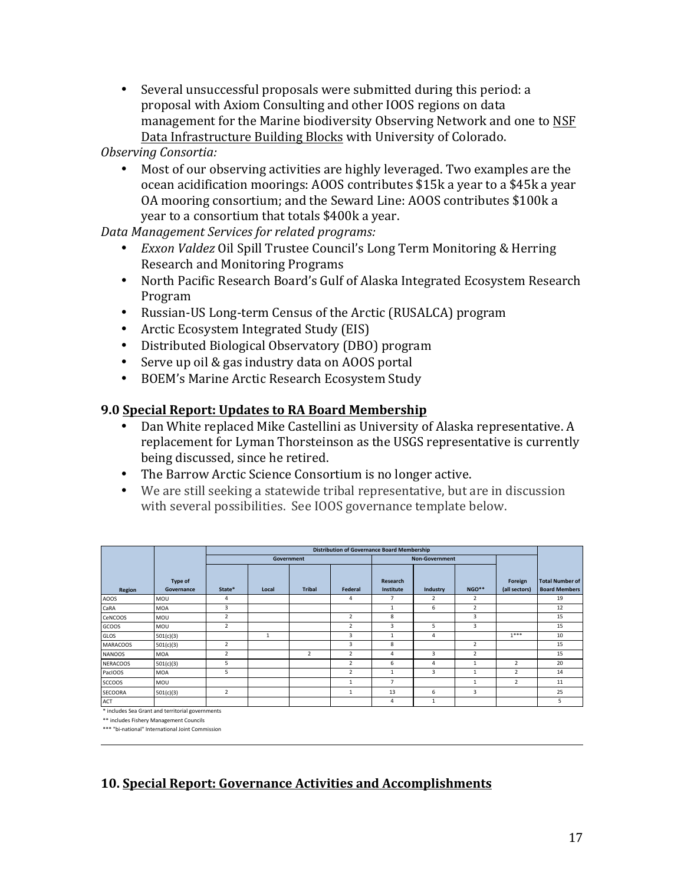• Several unsuccessful proposals were submitted during this period: a proposal with Axiom Consulting and other IOOS regions on data management for the Marine biodiversity Observing Network and one to NSF Data Infrastructure Building Blocks with University of Colorado.

*Observing Consortia:*

• Most of our observing activities are highly leveraged. Two examples are the ocean acidification moorings: AOOS contributes \$15k a year to a \$45k a year OA mooring consortium; and the Seward Line: AOOS contributes \$100k a year to a consortium that totals \$400k a year.

*Data Management Services for related programs:*

- *Exxon Valdez* Oil Spill Trustee Council's Long Term Monitoring & Herring Research and Monitoring Programs
- North Pacific Research Board's Gulf of Alaska Integrated Ecosystem Research Program
- Russian-US Long-term Census of the Arctic (RUSALCA) program
- Arctic Ecosystem Integrated Study (EIS)
- Distributed Biological Observatory (DBO) program
- Serve up oil & gas industry data on AOOS portal
- BOEM's Marine Arctic Research Ecosystem Study

#### **9.0 Special Report: Updates to RA Board Membership**

- Dan White replaced Mike Castellini as University of Alaska representative. A replacement for Lyman Thorsteinson as the USGS representative is currently being discussed, since he retired.
- The Barrow Arctic Science Consortium is no longer active.
- We are still seeking a statewide tribal representative, but are in discussion with several possibilities. See IOOS governance template below.

|                 | <b>Distribution of Governance Board Membership</b> |                |              |               |                |                       |                         |                |                          |                                                |
|-----------------|----------------------------------------------------|----------------|--------------|---------------|----------------|-----------------------|-------------------------|----------------|--------------------------|------------------------------------------------|
|                 |                                                    | Government     |              |               |                | <b>Non-Government</b> |                         |                |                          |                                                |
| Region          | Type of<br>Governance                              | State*         | Local        | <b>Tribal</b> | Federal        | Research<br>Institute | Industry                | NGO**          | Foreign<br>(all sectors) | <b>Total Number of</b><br><b>Board Members</b> |
| AOOS            | MOU                                                | 4              |              |               | 4              | $\overline{7}$        | $\overline{2}$          | 2              |                          | 19                                             |
| CaRA            | MOA                                                | 3              |              |               |                | $\mathbf{1}$          | 6                       | $\overline{2}$ |                          | 12                                             |
| CeNCOOS         | MOU                                                | $\overline{2}$ |              |               | $\overline{2}$ | 8                     |                         | 3              |                          | 15                                             |
| GCOOS           | MOU                                                | $\overline{2}$ |              |               | 2              | 3                     | 5                       | $\overline{3}$ |                          | 15                                             |
| GLOS            | 501(c)(3)                                          |                | $\mathbf{1}$ |               | 3              |                       | 4                       |                | $1***$                   | 10                                             |
| <b>MARACOOS</b> | 501(c)(3)                                          | $\overline{2}$ |              |               | 3              | 8                     |                         | 2              |                          | 15                                             |
| <b>NANOOS</b>   | MOA                                                | $\overline{2}$ |              | 2             | 2              | 4                     | 3                       | $\overline{2}$ |                          | 15                                             |
| <b>NERACOOS</b> | 501(c)(3)                                          | 5              |              |               | $\overline{2}$ | 6                     | 4                       |                | 2                        | 20                                             |
| PacIOOS         | MOA                                                | 5              |              |               | 2              |                       | $\overline{\mathbf{3}}$ |                | $\overline{2}$           | 14                                             |
| SCCOOS          | MOU                                                |                |              |               | $\mathbf{1}$   | $\overline{7}$        |                         | 1              | $\overline{2}$           | 11                                             |
| <b>SECOORA</b>  | 501(c)(3)                                          | $\overline{2}$ |              |               | 1              | 13                    | 6                       | 3              |                          | 25                                             |
| <b>ACT</b>      |                                                    |                |              |               |                | 4                     | 1                       |                |                          | 5                                              |

\* includes Sea Grant and territorial governments

\*\* includes Fishery Management Councils

\*\*\* "bi-national" International Joint Commission

# **10. Special Report: Governance Activities and Accomplishments**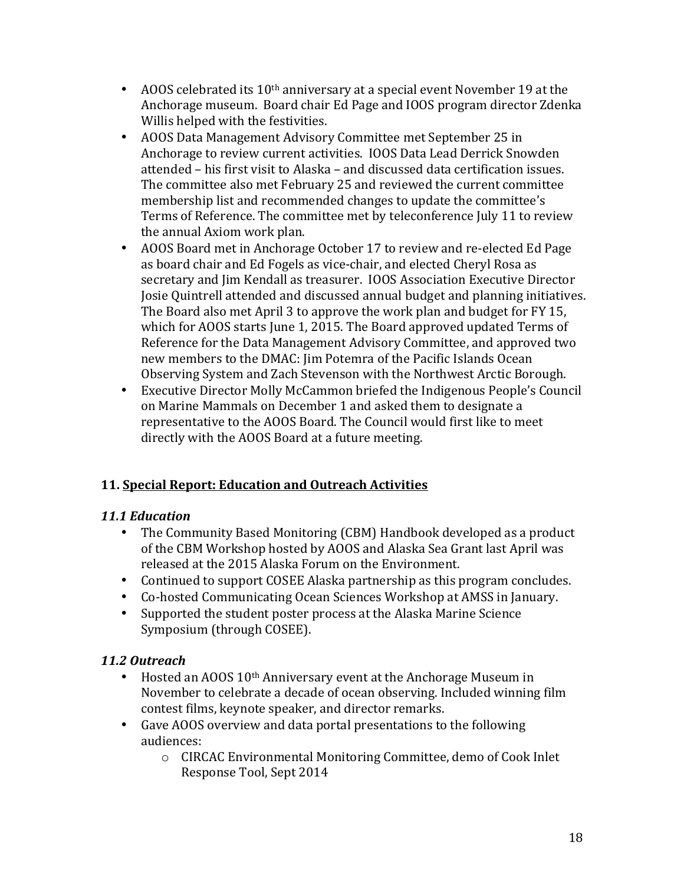- AOOS celebrated its  $10^{th}$  anniversary at a special event November 19 at the Anchorage museum. Board chair Ed Page and IOOS program director Zdenka Willis helped with the festivities.
- AOOS Data Management Advisory Committee met September 25 in Anchorage to review current activities. IOOS Data Lead Derrick Snowden attended – his first visit to Alaska – and discussed data certification issues. The committee also met February 25 and reviewed the current committee membership list and recommended changes to update the committee's Terms of Reference. The committee met by teleconference July 11 to review the annual Axiom work plan.
- AOOS Board met in Anchorage October 17 to review and re-elected Ed Page as board chair and Ed Fogels as vice-chair, and elected Cheryl Rosa as secretary and Jim Kendall as treasurer. IOOS Association Executive Director Josie Quintrell attended and discussed annual budget and planning initiatives. The Board also met April 3 to approve the work plan and budget for FY 15, which for AOOS starts June 1, 2015. The Board approved updated Terms of Reference for the Data Management Advisory Committee, and approved two new members to the DMAC: Jim Potemra of the Pacific Islands Ocean Observing System and Zach Stevenson with the Northwest Arctic Borough.
- Executive Director Molly McCammon briefed the Indigenous People's Council on Marine Mammals on December 1 and asked them to designate a representative to the AOOS Board. The Council would first like to meet directly with the AOOS Board at a future meeting.

# **11. Special Report: Education and Outreach Activities**

# *11.1 Education*

- The Community Based Monitoring (CBM) Handbook developed as a product of the CBM Workshop hosted by AOOS and Alaska Sea Grant last April was released at the 2015 Alaska Forum on the Environment.
- Continued to support COSEE Alaska partnership as this program concludes.
- Co-hosted Communicating Ocean Sciences Workshop at AMSS in January.
- Supported the student poster process at the Alaska Marine Science Symposium (through COSEE).

# *11.2 Outreach*

- Hosted an AOOS 10<sup>th</sup> Anniversary event at the Anchorage Museum in November to celebrate a decade of ocean observing. Included winning film contest films, keynote speaker, and director remarks.
- Gave AOOS overview and data portal presentations to the following audiences:
	- $\circ$  CIRCAC Environmental Monitoring Committee, demo of Cook Inlet Response Tool, Sept 2014